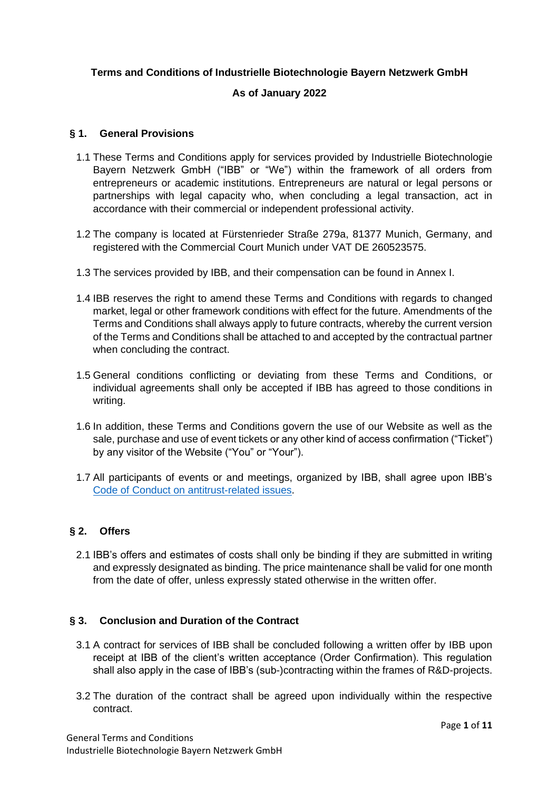## **Terms and Conditions of Industrielle Biotechnologie Bayern Netzwerk GmbH**

## **As of January 2022**

### **§ 1. General Provisions**

- 1.1 These Terms and Conditions apply for services provided by Industrielle Biotechnologie Bayern Netzwerk GmbH ("IBB" or "We") within the framework of all orders from entrepreneurs or academic institutions. Entrepreneurs are natural or legal persons or partnerships with legal capacity who, when concluding a legal transaction, act in accordance with their commercial or independent professional activity.
- 1.2 The company is located at Fürstenrieder Straße 279a, 81377 Munich, Germany, and registered with the Commercial Court Munich under VAT DE 260523575.
- 1.3 The services provided by IBB, and their compensation can be found in Annex I.
- 1.4 IBB reserves the right to amend these Terms and Conditions with regards to changed market, legal or other framework conditions with effect for the future. Amendments of the Terms and Conditions shall always apply to future contracts, whereby the current version of the Terms and Conditions shall be attached to and accepted by the contractual partner when concluding the contract.
- 1.5 General conditions conflicting or deviating from these Terms and Conditions, or individual agreements shall only be accepted if IBB has agreed to those conditions in writing.
- 1.6 In addition, these Terms and Conditions govern the use of our Website as well as the sale, purchase and use of event tickets or any other kind of access confirmation ("Ticket") by any visitor of the Website ("You" or "Your").
- 1.7 All participants of events or and meetings, organized by IBB, shall agree upon IBB's [Code of Conduct on antitrust-related issues.](https://www.ibbnetzwerk-gmbh.com/media/ibb/cluster/Code-of-Conduct.pdf)

# **§ 2. Offers**

2.1 IBB's offers and estimates of costs shall only be binding if they are submitted in writing and expressly designated as binding. The price maintenance shall be valid for one month from the date of offer, unless expressly stated otherwise in the written offer.

## **§ 3. Conclusion and Duration of the Contract**

- 3.1 A contract for services of IBB shall be concluded following a written offer by IBB upon receipt at IBB of the client's written acceptance (Order Confirmation). This regulation shall also apply in the case of IBB's (sub-)contracting within the frames of R&D-projects.
- 3.2 The duration of the contract shall be agreed upon individually within the respective contract.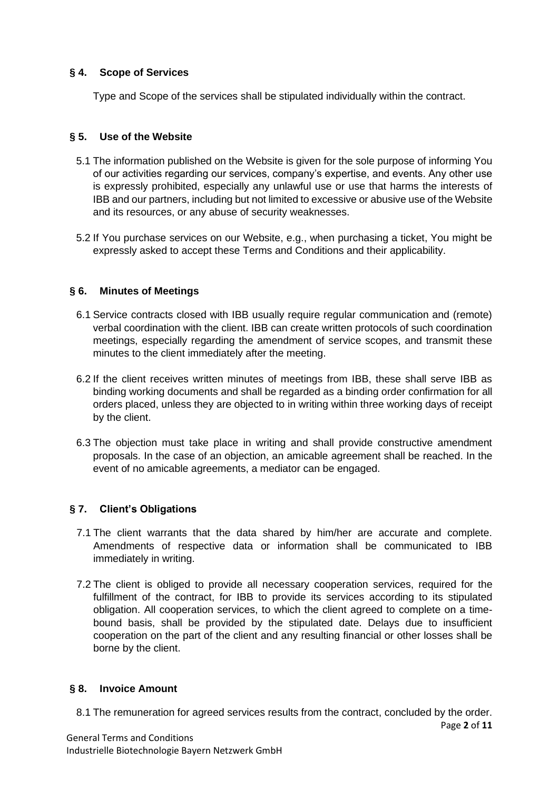# **§ 4. Scope of Services**

Type and Scope of the services shall be stipulated individually within the contract.

# **§ 5. Use of the Website**

- 5.1 The information published on the Website is given for the sole purpose of informing You of our activities regarding our services, company's expertise, and events. Any other use is expressly prohibited, especially any unlawful use or use that harms the interests of IBB and our partners, including but not limited to excessive or abusive use of the Website and its resources, or any abuse of security weaknesses.
- 5.2 If You purchase services on our Website, e.g., when purchasing a ticket, You might be expressly asked to accept these Terms and Conditions and their applicability.

# **§ 6. Minutes of Meetings**

- 6.1 Service contracts closed with IBB usually require regular communication and (remote) verbal coordination with the client. IBB can create written protocols of such coordination meetings, especially regarding the amendment of service scopes, and transmit these minutes to the client immediately after the meeting.
- 6.2 If the client receives written minutes of meetings from IBB, these shall serve IBB as binding working documents and shall be regarded as a binding order confirmation for all orders placed, unless they are objected to in writing within three working days of receipt by the client.
- 6.3 The objection must take place in writing and shall provide constructive amendment proposals. In the case of an objection, an amicable agreement shall be reached. In the event of no amicable agreements, a mediator can be engaged.

# **§ 7. Client's Obligations**

- 7.1 The client warrants that the data shared by him/her are accurate and complete. Amendments of respective data or information shall be communicated to IBB immediately in writing.
- 7.2 The client is obliged to provide all necessary cooperation services, required for the fulfillment of the contract, for IBB to provide its services according to its stipulated obligation. All cooperation services, to which the client agreed to complete on a timebound basis, shall be provided by the stipulated date. Delays due to insufficient cooperation on the part of the client and any resulting financial or other losses shall be borne by the client.

## **§ 8. Invoice Amount**

8.1 The remuneration for agreed services results from the contract, concluded by the order.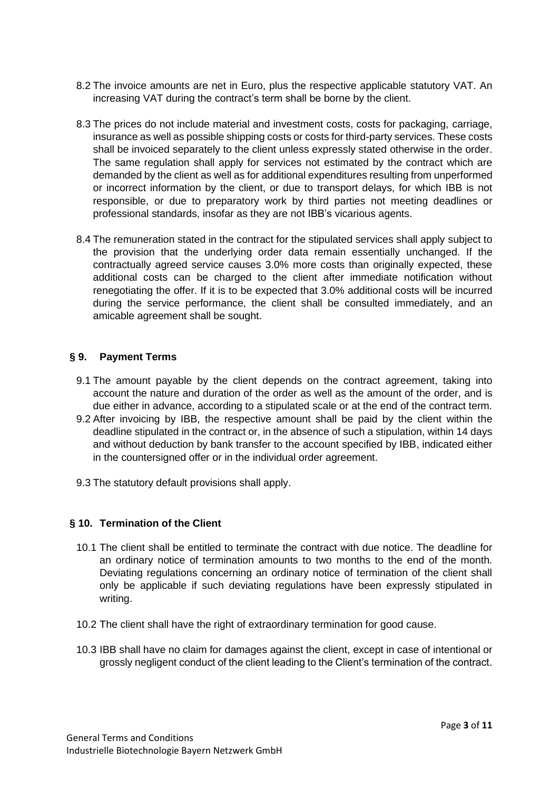- 8.2 The invoice amounts are net in Euro, plus the respective applicable statutory VAT. An increasing VAT during the contract's term shall be borne by the client.
- 8.3 The prices do not include material and investment costs, costs for packaging, carriage, insurance as well as possible shipping costs or costs for third-party services. These costs shall be invoiced separately to the client unless expressly stated otherwise in the order. The same regulation shall apply for services not estimated by the contract which are demanded by the client as well as for additional expenditures resulting from unperformed or incorrect information by the client, or due to transport delays, for which IBB is not responsible, or due to preparatory work by third parties not meeting deadlines or professional standards, insofar as they are not IBB's vicarious agents.
- 8.4 The remuneration stated in the contract for the stipulated services shall apply subject to the provision that the underlying order data remain essentially unchanged. If the contractually agreed service causes 3.0% more costs than originally expected, these additional costs can be charged to the client after immediate notification without renegotiating the offer. If it is to be expected that 3.0% additional costs will be incurred during the service performance, the client shall be consulted immediately, and an amicable agreement shall be sought.

## **§ 9. Payment Terms**

- 9.1 The amount payable by the client depends on the contract agreement, taking into account the nature and duration of the order as well as the amount of the order, and is due either in advance, according to a stipulated scale or at the end of the contract term.
- 9.2 After invoicing by IBB, the respective amount shall be paid by the client within the deadline stipulated in the contract or, in the absence of such a stipulation, within 14 days and without deduction by bank transfer to the account specified by IBB, indicated either in the countersigned offer or in the individual order agreement.
- 9.3 The statutory default provisions shall apply.

#### **§ 10. Termination of the Client**

- 10.1 The client shall be entitled to terminate the contract with due notice. The deadline for an ordinary notice of termination amounts to two months to the end of the month. Deviating regulations concerning an ordinary notice of termination of the client shall only be applicable if such deviating regulations have been expressly stipulated in writing.
- 10.2 The client shall have the right of extraordinary termination for good cause.
- 10.3 IBB shall have no claim for damages against the client, except in case of intentional or grossly negligent conduct of the client leading to the Client's termination of the contract.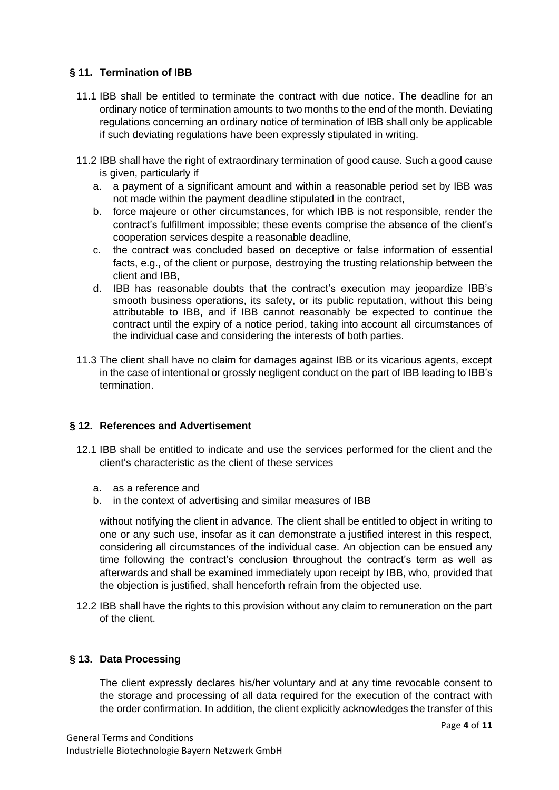# **§ 11. Termination of IBB**

- 11.1 IBB shall be entitled to terminate the contract with due notice. The deadline for an ordinary notice of termination amounts to two months to the end of the month. Deviating regulations concerning an ordinary notice of termination of IBB shall only be applicable if such deviating regulations have been expressly stipulated in writing.
- 11.2 IBB shall have the right of extraordinary termination of good cause. Such a good cause is given, particularly if
	- a. a payment of a significant amount and within a reasonable period set by IBB was not made within the payment deadline stipulated in the contract,
	- b. force majeure or other circumstances, for which IBB is not responsible, render the contract's fulfillment impossible; these events comprise the absence of the client's cooperation services despite a reasonable deadline,
	- c. the contract was concluded based on deceptive or false information of essential facts, e.g., of the client or purpose, destroying the trusting relationship between the client and IBB,
	- d. IBB has reasonable doubts that the contract's execution may jeopardize IBB's smooth business operations, its safety, or its public reputation, without this being attributable to IBB, and if IBB cannot reasonably be expected to continue the contract until the expiry of a notice period, taking into account all circumstances of the individual case and considering the interests of both parties.
- 11.3 The client shall have no claim for damages against IBB or its vicarious agents, except in the case of intentional or grossly negligent conduct on the part of IBB leading to IBB's termination.

# **§ 12. References and Advertisement**

- 12.1 IBB shall be entitled to indicate and use the services performed for the client and the client's characteristic as the client of these services
	- a. as a reference and
	- b. in the context of advertising and similar measures of IBB

without notifying the client in advance. The client shall be entitled to object in writing to one or any such use, insofar as it can demonstrate a justified interest in this respect, considering all circumstances of the individual case. An objection can be ensued any time following the contract's conclusion throughout the contract's term as well as afterwards and shall be examined immediately upon receipt by IBB, who, provided that the objection is justified, shall henceforth refrain from the objected use.

12.2 IBB shall have the rights to this provision without any claim to remuneration on the part of the client.

## **§ 13. Data Processing**

The client expressly declares his/her voluntary and at any time revocable consent to the storage and processing of all data required for the execution of the contract with the order confirmation. In addition, the client explicitly acknowledges the transfer of this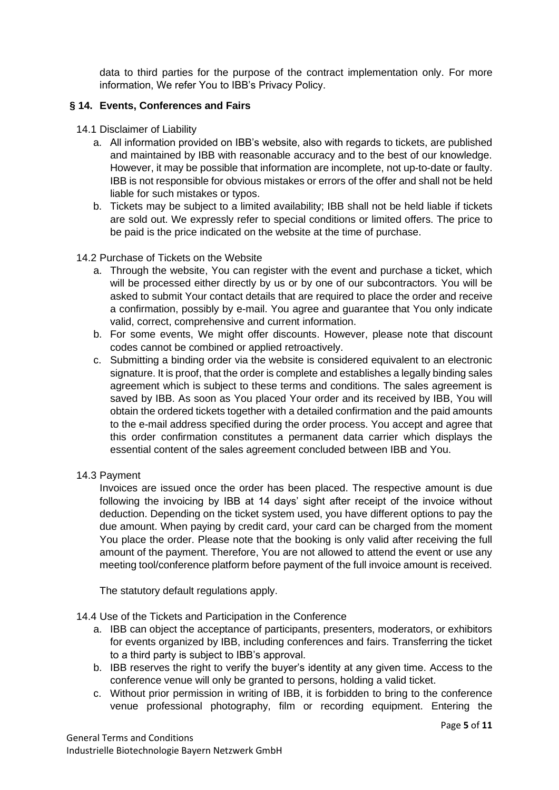data to third parties for the purpose of the contract implementation only. For more information, We refer You to IBB's Privacy Policy.

## **§ 14. Events, Conferences and Fairs**

- 14.1 Disclaimer of Liability
	- a. All information provided on IBB's website, also with regards to tickets, are published and maintained by IBB with reasonable accuracy and to the best of our knowledge. However, it may be possible that information are incomplete, not up-to-date or faulty. IBB is not responsible for obvious mistakes or errors of the offer and shall not be held liable for such mistakes or typos.
	- b. Tickets may be subject to a limited availability; IBB shall not be held liable if tickets are sold out. We expressly refer to special conditions or limited offers. The price to be paid is the price indicated on the website at the time of purchase.

#### 14.2 Purchase of Tickets on the Website

- a. Through the website, You can register with the event and purchase a ticket, which will be processed either directly by us or by one of our subcontractors. You will be asked to submit Your contact details that are required to place the order and receive a confirmation, possibly by e-mail. You agree and guarantee that You only indicate valid, correct, comprehensive and current information.
- b. For some events, We might offer discounts. However, please note that discount codes cannot be combined or applied retroactively.
- c. Submitting a binding order via the website is considered equivalent to an electronic signature. It is proof, that the order is complete and establishes a legally binding sales agreement which is subject to these terms and conditions. The sales agreement is saved by IBB. As soon as You placed Your order and its received by IBB, You will obtain the ordered tickets together with a detailed confirmation and the paid amounts to the e-mail address specified during the order process. You accept and agree that this order confirmation constitutes a permanent data carrier which displays the essential content of the sales agreement concluded between IBB and You.
- 14.3 Payment

Invoices are issued once the order has been placed. The respective amount is due following the invoicing by IBB at 14 days' sight after receipt of the invoice without deduction. Depending on the ticket system used, you have different options to pay the due amount. When paying by credit card, your card can be charged from the moment You place the order. Please note that the booking is only valid after receiving the full amount of the payment. Therefore, You are not allowed to attend the event or use any meeting tool/conference platform before payment of the full invoice amount is received.

The statutory default regulations apply.

- 14.4 Use of the Tickets and Participation in the Conference
	- a. IBB can object the acceptance of participants, presenters, moderators, or exhibitors for events organized by IBB, including conferences and fairs. Transferring the ticket to a third party is subject to IBB's approval.
	- b. IBB reserves the right to verify the buyer's identity at any given time. Access to the conference venue will only be granted to persons, holding a valid ticket.
	- c. Without prior permission in writing of IBB, it is forbidden to bring to the conference venue professional photography, film or recording equipment. Entering the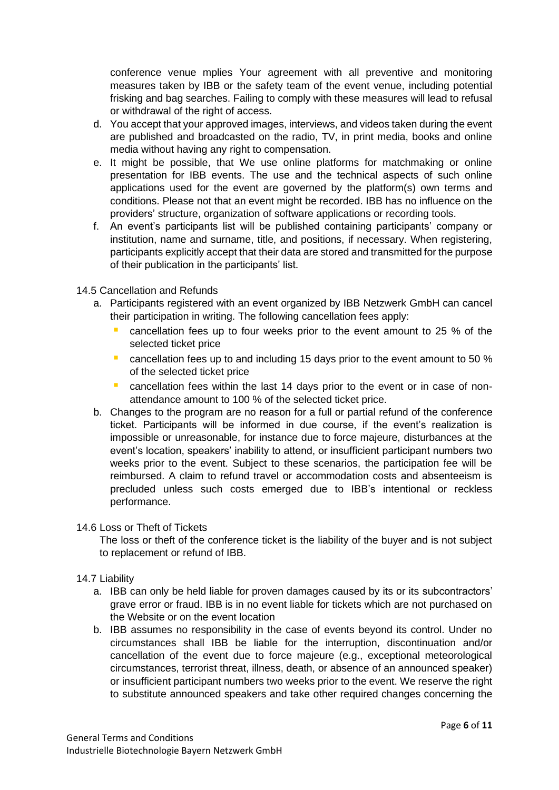conference venue mplies Your agreement with all preventive and monitoring measures taken by IBB or the safety team of the event venue, including potential frisking and bag searches. Failing to comply with these measures will lead to refusal or withdrawal of the right of access.

- d. You accept that your approved images, interviews, and videos taken during the event are published and broadcasted on the radio, TV, in print media, books and online media without having any right to compensation.
- e. It might be possible, that We use online platforms for matchmaking or online presentation for IBB events. The use and the technical aspects of such online applications used for the event are governed by the platform(s) own terms and conditions. Please not that an event might be recorded. IBB has no influence on the providers' structure, organization of software applications or recording tools.
- f. An event's participants list will be published containing participants' company or institution, name and surname, title, and positions, if necessary. When registering, participants explicitly accept that their data are stored and transmitted for the purpose of their publication in the participants' list.

## 14.5 Cancellation and Refunds

- a. Participants registered with an event organized by IBB Netzwerk GmbH can cancel their participation in writing. The following cancellation fees apply:
	- cancellation fees up to four weeks prior to the event amount to 25 % of the selected ticket price
	- cancellation fees up to and including 15 days prior to the event amount to 50 % of the selected ticket price
	- **E** cancellation fees within the last 14 days prior to the event or in case of nonattendance amount to 100 % of the selected ticket price.
- b. Changes to the program are no reason for a full or partial refund of the conference ticket. Participants will be informed in due course, if the event's realization is impossible or unreasonable, for instance due to force majeure, disturbances at the event's location, speakers' inability to attend, or insufficient participant numbers two weeks prior to the event. Subject to these scenarios, the participation fee will be reimbursed. A claim to refund travel or accommodation costs and absenteeism is precluded unless such costs emerged due to IBB's intentional or reckless performance.

## 14.6 Loss or Theft of Tickets

The loss or theft of the conference ticket is the liability of the buyer and is not subject to replacement or refund of IBB.

## 14.7 Liability

- a. IBB can only be held liable for proven damages caused by its or its subcontractors' grave error or fraud. IBB is in no event liable for tickets which are not purchased on the Website or on the event location
- b. IBB assumes no responsibility in the case of events beyond its control. Under no circumstances shall IBB be liable for the interruption, discontinuation and/or cancellation of the event due to force majeure (e.g., exceptional meteorological circumstances, terrorist threat, illness, death, or absence of an announced speaker) or insufficient participant numbers two weeks prior to the event. We reserve the right to substitute announced speakers and take other required changes concerning the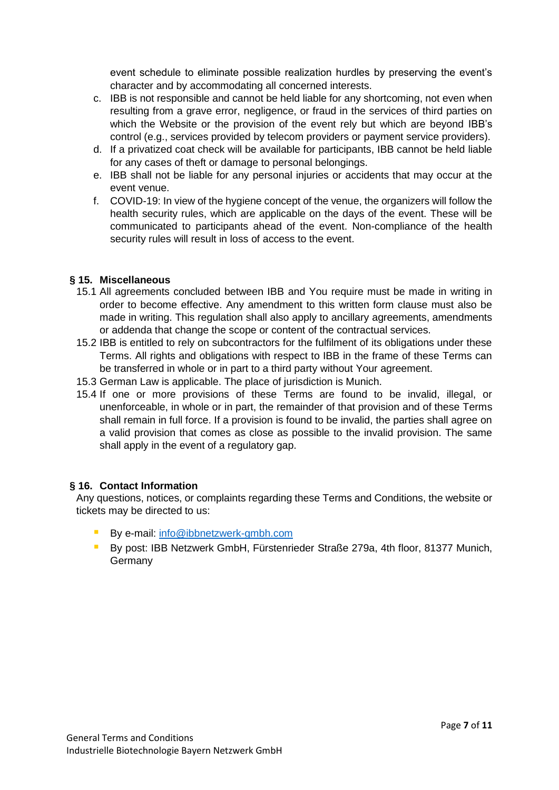event schedule to eliminate possible realization hurdles by preserving the event's character and by accommodating all concerned interests.

- c. IBB is not responsible and cannot be held liable for any shortcoming, not even when resulting from a grave error, negligence, or fraud in the services of third parties on which the Website or the provision of the event rely but which are beyond IBB's control (e.g., services provided by telecom providers or payment service providers).
- d. If a privatized coat check will be available for participants, IBB cannot be held liable for any cases of theft or damage to personal belongings.
- e. IBB shall not be liable for any personal injuries or accidents that may occur at the event venue.
- f. COVID-19: In view of the hygiene concept of the venue, the organizers will follow the health security rules, which are applicable on the days of the event. These will be communicated to participants ahead of the event. Non-compliance of the health security rules will result in loss of access to the event.

## **§ 15. Miscellaneous**

- 15.1 All agreements concluded between IBB and You require must be made in writing in order to become effective. Any amendment to this written form clause must also be made in writing. This regulation shall also apply to ancillary agreements, amendments or addenda that change the scope or content of the contractual services.
- 15.2 IBB is entitled to rely on subcontractors for the fulfilment of its obligations under these Terms. All rights and obligations with respect to IBB in the frame of these Terms can be transferred in whole or in part to a third party without Your agreement.
- 15.3 German Law is applicable. The place of jurisdiction is Munich.
- 15.4 If one or more provisions of these Terms are found to be invalid, illegal, or unenforceable, in whole or in part, the remainder of that provision and of these Terms shall remain in full force. If a provision is found to be invalid, the parties shall agree on a valid provision that comes as close as possible to the invalid provision. The same shall apply in the event of a regulatory gap.

## **§ 16. Contact Information**

Any questions, notices, or complaints regarding these Terms and Conditions, the website or tickets may be directed to us:

- By e-mail: [info@ibbnetzwerk-gmbh.com](mailto:info@ibbnetzwerk-gmbh.com)
- **E** By post: IBB Netzwerk GmbH, Fürstenrieder Straße 279a, 4th floor, 81377 Munich, Germany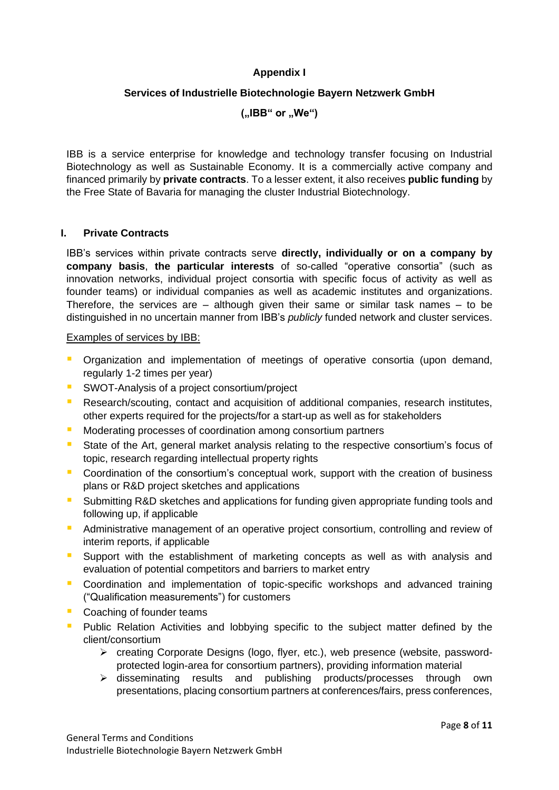## **Appendix I**

## **Services of Industrielle Biotechnologie Bayern Netzwerk GmbH**

**("IBB" or "We")**

IBB is a service enterprise for knowledge and technology transfer focusing on Industrial Biotechnology as well as Sustainable Economy. It is a commercially active company and financed primarily by **private contracts**. To a lesser extent, it also receives **public funding** by the Free State of Bavaria for managing the cluster Industrial Biotechnology.

## **I. Private Contracts**

IBB's services within private contracts serve **directly, individually or on a company by company basis**, **the particular interests** of so-called "operative consortia" (such as innovation networks, individual project consortia with specific focus of activity as well as founder teams) or individual companies as well as academic institutes and organizations. Therefore, the services are – although given their same or similar task names – to be distinguished in no uncertain manner from IBB's *publicly* funded network and cluster services.

#### Examples of services by IBB:

- **•** Organization and implementation of meetings of operative consortia (upon demand, regularly 1-2 times per year)
- **E** SWOT-Analysis of a project consortium/project
- **E** Research/scouting, contact and acquisition of additional companies, research institutes, other experts required for the projects/for a start-up as well as for stakeholders
- Moderating processes of coordination among consortium partners
- State of the Art, general market analysis relating to the respective consortium's focus of topic, research regarding intellectual property rights
- **•** Coordination of the consortium's conceptual work, support with the creation of business plans or R&D project sketches and applications
- Submitting R&D sketches and applications for funding given appropriate funding tools and following up, if applicable
- **E** Administrative management of an operative project consortium, controlling and review of interim reports, if applicable
- **E** Support with the establishment of marketing concepts as well as with analysis and evaluation of potential competitors and barriers to market entry
- Coordination and implementation of topic-specific workshops and advanced training ("Qualification measurements") for customers
- Coaching of founder teams
- **•** Public Relation Activities and lobbying specific to the subject matter defined by the client/consortium
	- ➢ creating Corporate Designs (logo, flyer, etc.), web presence (website, passwordprotected login-area for consortium partners), providing information material
	- ➢ disseminating results and publishing products/processes through own presentations, placing consortium partners at conferences/fairs, press conferences,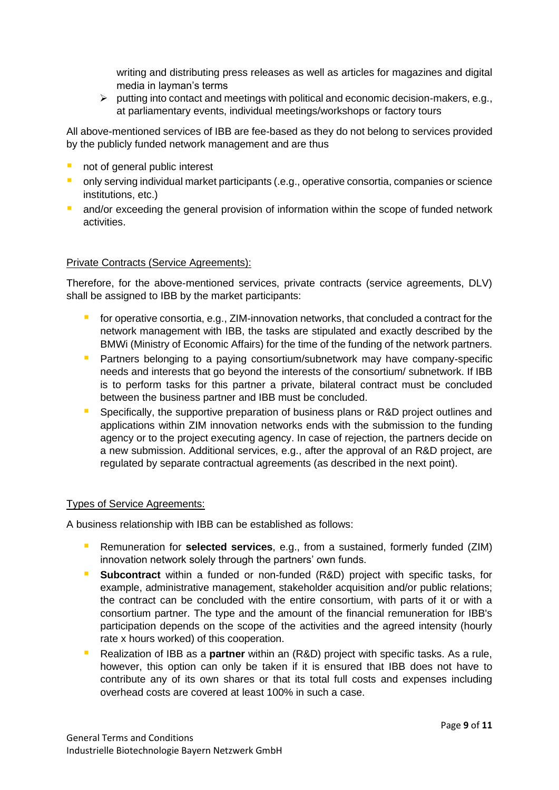writing and distributing press releases as well as articles for magazines and digital media in layman's terms

➢ putting into contact and meetings with political and economic decision-makers, e.g., at parliamentary events, individual meetings/workshops or factory tours

All above-mentioned services of IBB are fee-based as they do not belong to services provided by the publicly funded network management and are thus

- not of general public interest
- **only serving individual market participants (.e.g., operative consortia, companies or science** institutions, etc.)
- **E** and/or exceeding the general provision of information within the scope of funded network activities.

## Private Contracts (Service Agreements):

Therefore, for the above-mentioned services, private contracts (service agreements, DLV) shall be assigned to IBB by the market participants:

- for operative consortia, e.g., ZIM-innovation networks, that concluded a contract for the network management with IBB, the tasks are stipulated and exactly described by the BMWi (Ministry of Economic Affairs) for the time of the funding of the network partners.
- **E** Partners belonging to a paying consortium/subnetwork may have company-specific needs and interests that go beyond the interests of the consortium/ subnetwork. If IBB is to perform tasks for this partner a private, bilateral contract must be concluded between the business partner and IBB must be concluded.
- **E** Specifically, the supportive preparation of business plans or R&D project outlines and applications within ZIM innovation networks ends with the submission to the funding agency or to the project executing agency. In case of rejection, the partners decide on a new submission. Additional services, e.g., after the approval of an R&D project, are regulated by separate contractual agreements (as described in the next point).

## Types of Service Agreements:

A business relationship with IBB can be established as follows:

- Remuneration for **selected services**, e.g., from a sustained, formerly funded (ZIM) innovation network solely through the partners' own funds.
- **E** Subcontract within a funded or non-funded (R&D) project with specific tasks, for example, administrative management, stakeholder acquisition and/or public relations; the contract can be concluded with the entire consortium, with parts of it or with a consortium partner. The type and the amount of the financial remuneration for IBB's participation depends on the scope of the activities and the agreed intensity (hourly rate x hours worked) of this cooperation.
- Realization of IBB as a **partner** within an (R&D) project with specific tasks. As a rule, however, this option can only be taken if it is ensured that IBB does not have to contribute any of its own shares or that its total full costs and expenses including overhead costs are covered at least 100% in such a case.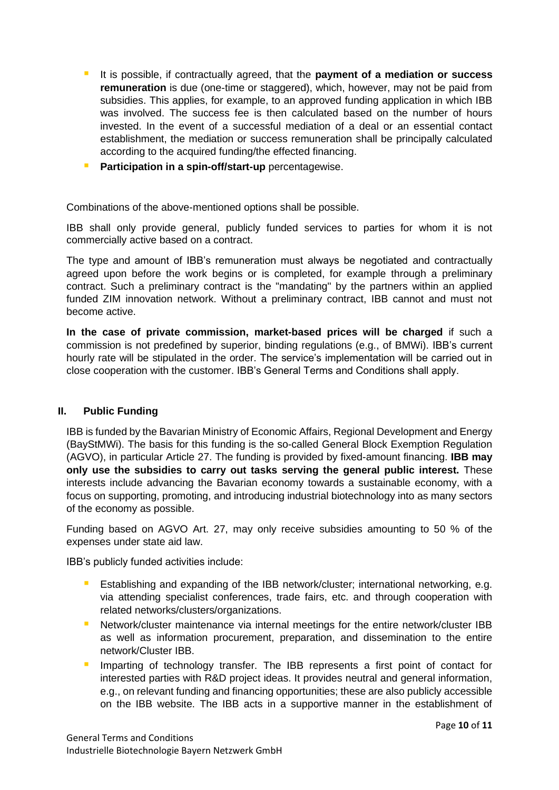- It is possible, if contractually agreed, that the **payment of a mediation or success remuneration** is due (one-time or staggered), which, however, may not be paid from subsidies. This applies, for example, to an approved funding application in which IBB was involved. The success fee is then calculated based on the number of hours invested. In the event of a successful mediation of a deal or an essential contact establishment, the mediation or success remuneration shall be principally calculated according to the acquired funding/the effected financing.
- **Participation in a spin-off/start-up** percentagewise.

Combinations of the above-mentioned options shall be possible.

IBB shall only provide general, publicly funded services to parties for whom it is not commercially active based on a contract.

The type and amount of IBB's remuneration must always be negotiated and contractually agreed upon before the work begins or is completed, for example through a preliminary contract. Such a preliminary contract is the "mandating" by the partners within an applied funded ZIM innovation network. Without a preliminary contract, IBB cannot and must not become active.

**In the case of private commission, market-based prices will be charged** if such a commission is not predefined by superior, binding regulations (e.g., of BMWi). IBB's current hourly rate will be stipulated in the order. The service's implementation will be carried out in close cooperation with the customer. IBB's General Terms and Conditions shall apply.

## **II. Public Funding**

IBB is funded by the Bavarian Ministry of Economic Affairs, Regional Development and Energy (BayStMWi). The basis for this funding is the so-called General Block Exemption Regulation (AGVO), in particular Article 27. The funding is provided by fixed-amount financing. **IBB may only use the subsidies to carry out tasks serving the general public interest.** These interests include advancing the Bavarian economy towards a sustainable economy, with a focus on supporting, promoting, and introducing industrial biotechnology into as many sectors of the economy as possible.

Funding based on AGVO Art. 27, may only receive subsidies amounting to 50 % of the expenses under state aid law.

IBB's publicly funded activities include:

- Establishing and expanding of the IBB network/cluster; international networking, e.g. via attending specialist conferences, trade fairs, etc. and through cooperation with related networks/clusters/organizations.
- **E** Network/cluster maintenance via internal meetings for the entire network/cluster IBB as well as information procurement, preparation, and dissemination to the entire network/Cluster IBB.
- **E** Imparting of technology transfer. The IBB represents a first point of contact for interested parties with R&D project ideas. It provides neutral and general information, e.g., on relevant funding and financing opportunities; these are also publicly accessible on the IBB website. The IBB acts in a supportive manner in the establishment of